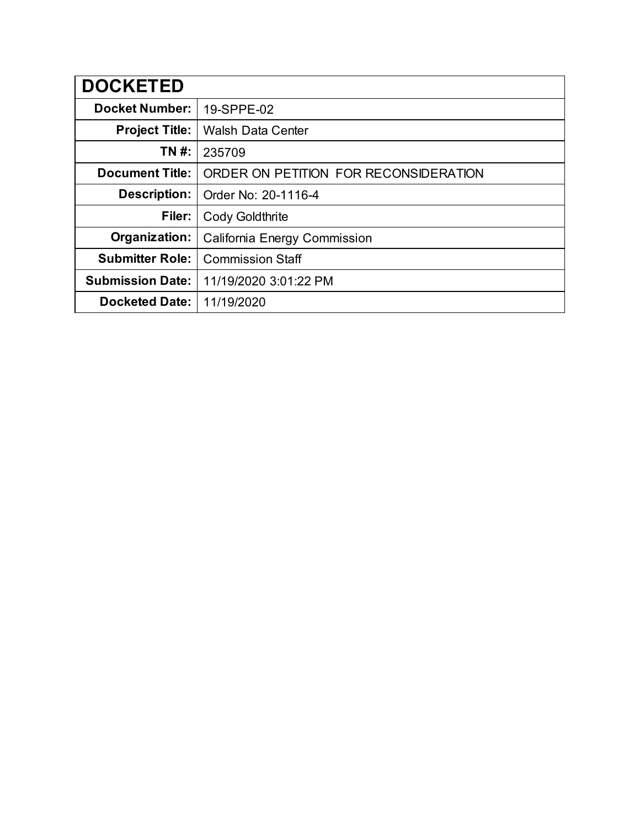| <b>DOCKETED</b>         |                                       |
|-------------------------|---------------------------------------|
| <b>Docket Number:</b>   | 19-SPPE-02                            |
| <b>Project Title:</b>   | <b>Walsh Data Center</b>              |
| TN #:                   | 235709                                |
| <b>Document Title:</b>  | ORDER ON PETITION FOR RECONSIDERATION |
| Description:            | Order No: 20-1116-4                   |
| Filer:                  | <b>Cody Goldthrite</b>                |
| Organization:           | California Energy Commission          |
| <b>Submitter Role:</b>  | <b>Commission Staff</b>               |
| <b>Submission Date:</b> | 11/19/2020 3:01:22 PM                 |
| <b>Docketed Date:</b>   | 11/19/2020                            |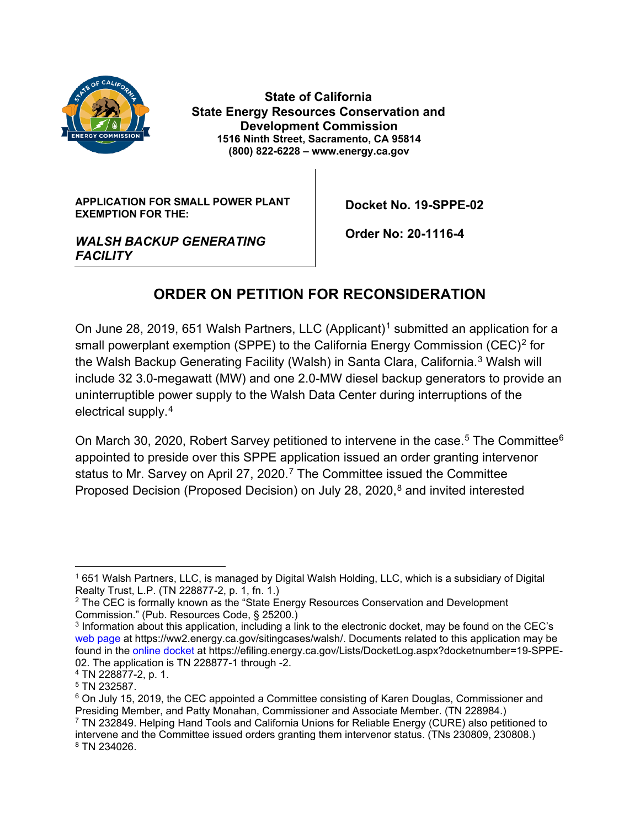

 **State of California State Energy Resources Conservation and Development Commission 1516 Ninth Street, Sacramento, CA 95814 (800) 822-6228 – www.energy.ca.gov**

**APPLICATION FOR SMALL POWER PLANT EXEMPTION FOR THE:**

 **Docket No. 19-SPPE-02**

*WALSH BACKUP GENERATING FACILITY*

 **Order No: 20-1116-4**

## **ORDER ON PETITION FOR RECONSIDERATION**

On June 28, 20[1](#page-1-0)9, 651 Walsh Partners, LLC (Applicant)<sup>1</sup> submitted an application for a small powerplant exemption (SPPE) to the California Energy Commission (CEC)<sup>[2](#page-1-1)</sup> for the Walsh Backup Generating Facility (Walsh) in Santa Clara, California. [3](#page-1-2) Walsh will include 32 3.0-megawatt (MW) and one 2.0-MW diesel backup generators to provide an uninterruptible power supply to the Walsh Data Center during interruptions of the electrical supply.[4](#page-1-3)

On March 30, 2020, Robert Sarvey petitioned to intervene in the case.<sup>[5](#page-1-4)</sup> The Committee<sup>[6](#page-1-5)</sup> appointed to preside over this SPPE application issued an order granting intervenor status to Mr. Sarvey on April 2[7](#page-1-6), 2020.<sup>7</sup> The Committee issued the Committee Proposed Decision (Proposed Decision) on July 28, 2020, [8](#page-1-7) and invited interested

<span id="page-1-0"></span><sup>1</sup> 651 Walsh Partners, LLC, is managed by Digital Walsh Holding, LLC, which is a subsidiary of Digital Realty Trust, L.P. (TN 228877-2, p. 1, fn. 1.)

<span id="page-1-1"></span> $2$  The CEC is formally known as the "State Energy Resources Conservation and Development Commission." (Pub. Resources Code, § 25200.)

<span id="page-1-2"></span><sup>3</sup> Information about this application, including a link to the electronic docket, may be found on the CEC's [web page](https://ww2.energy.ca.gov/sitingcases/walsh/) at [https://ww2.energy.ca.gov/sitingcases/walsh/.](https://ww2.energy.ca.gov/sitingcases/walsh/) Documents related to this application may be found in the [online docket](https://efiling.energy.ca.gov/Lists/DocketLog.aspx?docketnumber=19-SPPE-02) at [https://efiling.energy.ca.gov/Lists/DocketLog.aspx?docketnumber=19-SPPE-](https://efiling.energy.ca.gov/Lists/DocketLog.aspx?docketnumber=19-SPPE-02)[02.](https://efiling.energy.ca.gov/Lists/DocketLog.aspx?docketnumber=19-SPPE-02) The application is TN 228877-1 through -2.

<span id="page-1-3"></span><sup>4</sup> TN 228877-2, p. 1.

<span id="page-1-4"></span><sup>5</sup> TN 232587.

<span id="page-1-5"></span> $6$  On July 15, 2019, the CEC appointed a Committee consisting of Karen Douglas, Commissioner and Presiding Member, and Patty Monahan, Commissioner and Associate Member. (TN 228984.)

<span id="page-1-7"></span><span id="page-1-6"></span><sup>7</sup> TN 232849. Helping Hand Tools and California Unions for Reliable Energy (CURE) also petitioned to intervene and the Committee issued orders granting them intervenor status. (TNs 230809, 230808.) <sup>8</sup> TN 234026.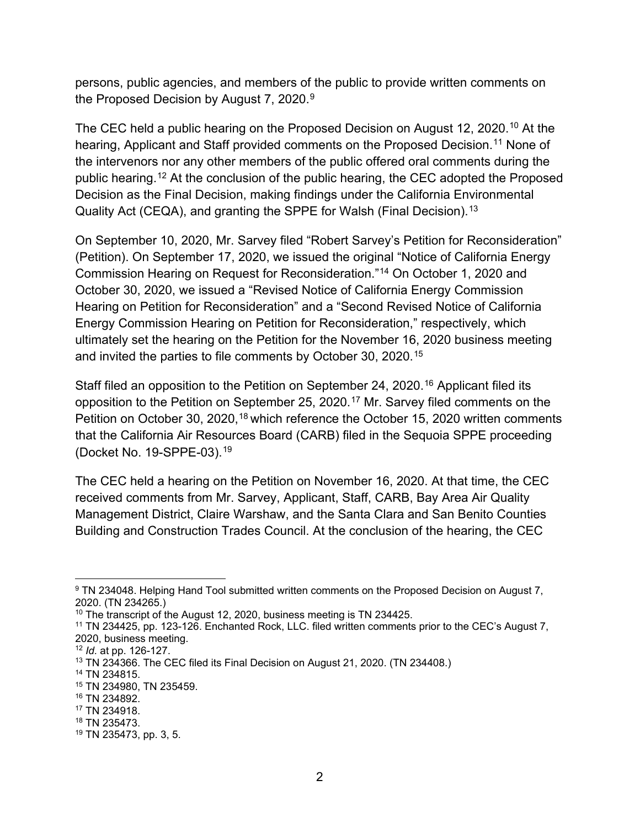persons, public agencies, and members of the public to provide written comments on the Proposed Decision by August 7, 2020.<sup>[9](#page-2-0)</sup>

The CEC held a public hearing on the Proposed Decision on August 12, 2020.<sup>[10](#page-2-1)</sup> At the hearing, Applicant and Staff provided comments on the Proposed Decision. [11](#page-2-2) None of the intervenors nor any other members of the public offered oral comments during the public hearing.[12](#page-2-3) At the conclusion of the public hearing, the CEC adopted the Proposed Decision as the Final Decision, making findings under the California Environmental Quality Act (CEQA), and granting the SPPE for Walsh (Final Decision). [13](#page-2-4)

On September 10, 2020, Mr. Sarvey filed "Robert Sarvey's Petition for Reconsideration" (Petition). On September 17, 2020, we issued the original "Notice of California Energy Commission Hearing on Request for Reconsideration."[14](#page-2-5) On October 1, 2020 and October 30, 2020, we issued a "Revised Notice of California Energy Commission Hearing on Petition for Reconsideration" and a "Second Revised Notice of California Energy Commission Hearing on Petition for Reconsideration," respectively, which ultimately set the hearing on the Petition for the November 16, 2020 business meeting and invited the parties to file comments by October 30, 2020. [15](#page-2-6)

Staff filed an opposition to the Petition on September 24, 2020.<sup>[16](#page-2-7)</sup> Applicant filed its opposition to the Petition on September 25, 2020. [17](#page-2-8) Mr. Sarvey filed comments on the Petition on October 30, 2020,<sup>[18](#page-2-9)</sup> which reference the October 15, 2020 written comments that the California Air Resources Board (CARB) filed in the Sequoia SPPE proceeding (Docket No. 19-SPPE-03).[19](#page-2-10)

The CEC held a hearing on the Petition on November 16, 2020. At that time, the CEC received comments from Mr. Sarvey, Applicant, Staff, CARB, Bay Area Air Quality Management District, Claire Warshaw, and the Santa Clara and San Benito Counties Building and Construction Trades Council. At the conclusion of the hearing, the CEC

<span id="page-2-0"></span><sup>&</sup>lt;sup>9</sup> TN 234048. Helping Hand Tool submitted written comments on the Proposed Decision on August 7, 2020. (TN 234265.)

<span id="page-2-1"></span><sup>&</sup>lt;sup>10</sup> The transcript of the August 12, 2020, business meeting is TN 234425.

<span id="page-2-2"></span><sup>&</sup>lt;sup>11</sup> TN 234425, pp. 123-126. Enchanted Rock, LLC. filed written comments prior to the CEC's August 7, 2020, business meeting.

<span id="page-2-3"></span><sup>12</sup> *Id.* at pp. 126-127.

<span id="page-2-4"></span> $13$  TN 234366. The CEC filed its Final Decision on August 21, 2020. (TN 234408.)

<span id="page-2-5"></span><sup>14</sup> TN 234815.

<span id="page-2-6"></span><sup>15</sup> TN 234980, TN 235459.

<span id="page-2-7"></span><sup>16</sup> TN 234892.

<span id="page-2-8"></span><sup>17</sup> TN 234918.

<span id="page-2-9"></span><sup>18</sup> TN 235473.

<span id="page-2-10"></span><sup>19</sup> TN 235473, pp. 3, 5.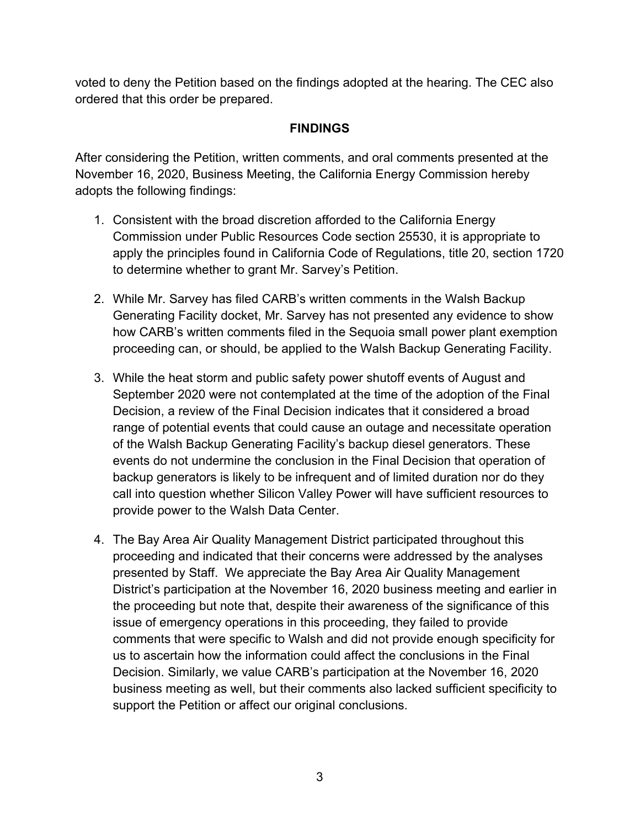voted to deny the Petition based on the findings adopted at the hearing. The CEC also ordered that this order be prepared.

## **FINDINGS**

After considering the Petition, written comments, and oral comments presented at the November 16, 2020, Business Meeting, the California Energy Commission hereby adopts the following findings:

- 1. Consistent with the broad discretion afforded to the California Energy Commission under Public Resources Code section 25530, it is appropriate to apply the principles found in California Code of Regulations, title 20, section 1720 to determine whether to grant Mr. Sarvey's Petition.
- 2. While Mr. Sarvey has filed CARB's written comments in the Walsh Backup Generating Facility docket, Mr. Sarvey has not presented any evidence to show how CARB's written comments filed in the Sequoia small power plant exemption proceeding can, or should, be applied to the Walsh Backup Generating Facility.
- 3. While the heat storm and public safety power shutoff events of August and September 2020 were not contemplated at the time of the adoption of the Final Decision, a review of the Final Decision indicates that it considered a broad range of potential events that could cause an outage and necessitate operation of the Walsh Backup Generating Facility's backup diesel generators. These events do not undermine the conclusion in the Final Decision that operation of backup generators is likely to be infrequent and of limited duration nor do they call into question whether Silicon Valley Power will have sufficient resources to provide power to the Walsh Data Center.
- 4. The Bay Area Air Quality Management District participated throughout this proceeding and indicated that their concerns were addressed by the analyses presented by Staff. We appreciate the Bay Area Air Quality Management District's participation at the November 16, 2020 business meeting and earlier in the proceeding but note that, despite their awareness of the significance of this issue of emergency operations in this proceeding, they failed to provide comments that were specific to Walsh and did not provide enough specificity for us to ascertain how the information could affect the conclusions in the Final Decision. Similarly, we value CARB's participation at the November 16, 2020 business meeting as well, but their comments also lacked sufficient specificity to support the Petition or affect our original conclusions.